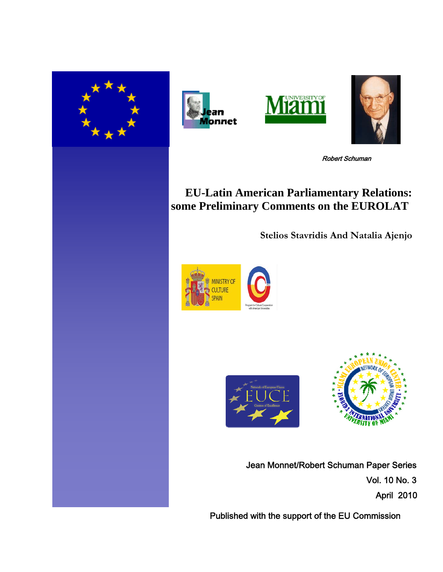

l







Robert Schuman

# **EU-Latin American Parliamentary Relations: some Preliminary Comments on the EUROLAT**

**Stelios Stavridis And Natalia Ajenjo**







Jean Monnet/Robert Schuman Paper Series Vol. 10 No. 3 April 2010

Published with the support of the EU Commission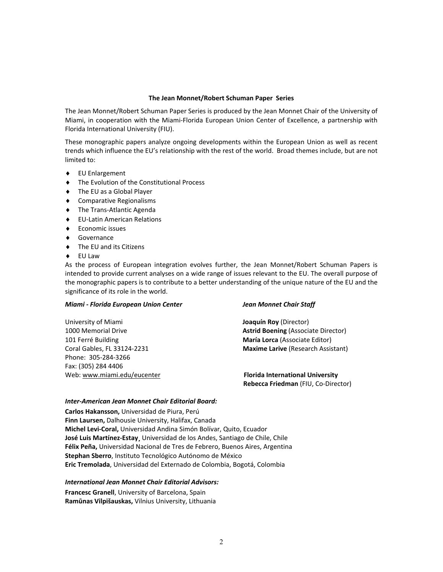#### **The Jean Monnet/Robert Schuman Paper Series**

The Jean Monnet/Robert Schuman Paper Series is produced by the Jean Monnet Chair of the University of Miami, in cooperation with the Miami‐Florida European Union Center of Excellence, a partnership with Florida International University (FIU).

These monographic papers analyze ongoing developments within the European Union as well as recent trends which influence the EU's relationship with the rest of the world. Broad themes include, but are not limited to:

- ◆ EU Enlargement
- The Evolution of the Constitutional Process
- ◆ The EU as a Global Player
- Comparative Regionalisms
- ◆ The Trans-Atlantic Agenda
- ◆ EU-Latin American Relations
- Economic issues
- ◆ Governance
- ◆ The EU and its Citizens
- ◆ FU Law

As the process of European integration evolves further, the Jean Monnet/Robert Schuman Papers is intended to provide current analyses on a wide range of issues relevant to the EU. The overall purpose of the monographic papers is to contribute to a better understanding of the unique nature of the EU and the significance of its role in the world.

#### *Miami ‐ Florida European Union Center Jean Monnet Chair Staff*

| University of Miami         | Joaquín Roy (Director)                     |
|-----------------------------|--------------------------------------------|
| 1000 Memorial Drive         | <b>Astrid Boening (Associate Director)</b> |
| 101 Ferré Building          | María Lorca (Associate Editor)             |
| Coral Gables, FL 33124-2231 | <b>Maxime Larive (Research Assistant)</b>  |
| Phone: 305-284-3266         |                                            |
| Fax: (305) 284 4406         |                                            |
| Web: www.miami.edu/eucenter | <b>Florida International University</b>    |
|                             | Rebecca Friedman (FIU, Co-Director)        |

#### *Inter‐American Jean Monnet Chair Editorial Board:*

**Carlos Hakansson,** Universidad de Piura, Perú **Finn Laursen,** Dalhousie University, Halifax, Canada **Michel Levi‐Coral,** Universidad Andina Simón Bolívar, Quito, Ecuador **José Luis Martínez‐Estay¸** Universidad de los Andes, Santiago de Chile, Chile **Félix Peña,** Universidad Nacional de Tres de Febrero, Buenos Aires, Argentina **Stephan Sberro**, Instituto Tecnológico Autónomo de México **Eric Tremolada**, Universidad del Externado de Colombia, Bogotá, Colombia

#### *International Jean Monnet Chair Editorial Advisors:*

**Francesc Granell**, University of Barcelona, Spain **Ramūnas Vilpišauskas,** Vilnius University, Lithuania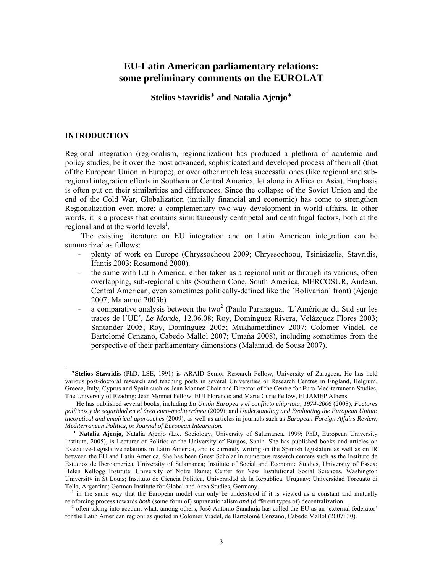# **EU-Latin American parliamentary relations: some preliminary comments on the EUROLAT**

**Stelios Stavridis and Natalia Ajenjo** 

#### **INTRODUCTION**

 $\overline{a}$ 

Regional integration (regionalism, regionalization) has produced a plethora of academic and policy studies, be it over the most advanced, sophisticated and developed process of them all (that of the European Union in Europe), or over other much less successful ones (like regional and subregional integration efforts in Southern or Central America, let alone in Africa or Asia). Emphasis is often put on their similarities and differences. Since the collapse of the Soviet Union and the end of the Cold War, Globalization (initially financial and economic) has come to strengthen Regionalization even more: a complementary two-way development in world affairs. In other words, it is a process that contains simultaneously centripetal and centrifugal factors, both at the regional and at the world levels<sup>1</sup>.

 The existing literature on EU integration and on Latin American integration can be summarized as follows:

- plenty of work on Europe (Chryssochoou 2009; Chryssochoou, Tsinisizelis, Stavridis, Ifantis 2003; Rosamond 2000).
- the same with Latin America, either taken as a regional unit or through its various, often overlapping, sub-regional units (Southern Cone, South America, MERCOSUR, Andean, Central American, even sometimes politically-defined like the ´Bolivarian´ front) (Ajenjo 2007; Malamud 2005b)
- a comparative analysis between the two<sup>2</sup> (Paulo Paranagua,  $L'$ Amérique du Sud sur les traces de l´UE´, *Le Monde*, 12.06.08; Roy, Dominguez Rivera, Velázquez Flores 2003; Santander 2005; Roy, Domínguez 2005; Mukhametdinov 2007; Colomer Viadel, de Bartolomé Cenzano, Cabedo Mallol 2007; Umaña 2008), including sometimes from the perspective of their parliamentary dimensions (Malamud, de Sousa 2007).

**Stelios Stavridis** (PhD. LSE, 1991) is ARAID Senior Research Fellow, University of Zaragoza. He has held various post-doctoral research and teaching posts in several Universities or Research Centres in England, Belgium, Greece, Italy, Cyprus and Spain such as Jean Monnet Chair and Director of the Centre for Euro-Mediterranean Studies, The University of Reading; Jean Monnet Fellow, EUI Florence; and Marie Curie Fellow, ELIAMEP Athens.

He has published several books, including *La Unión Europea y el conflicto chipriota, 1974-2006* (2008); *Factores políticos y de seguridad en el área euro-mediterránea* (2009); and *Understanding and Evaluating the European Union: theoretical and empirical approaches* (2009), as well as articles in journals such as *European Foreign Affairs Review*, *Mediterranean Politics*, or *Journal of European Integration*.

 **Natalia Ajenjo,** Natalia Ajenjo (Lic. Sociology, University of Salamanca, 1999; PhD, European University Institute, 2005), is Lecturer of Politics at the University of Burgos, Spain. She has published books and articles on Executive-Legislative relations in Latin America, and is currently writing on the Spanish legislature as well as on IR between the EU and Latin America. She has been Guest Scholar in numerous research centers such as the Instituto de Estudios de Iberoamerica, University of Salamanca; Institute of Social and Economic Studies, University of Essex; Helen Kellogg Institute, University of Notre Dame; Center for New Institutional Social Sciences, Washington University in St Louis; Instituto de Ciencia Politica, Universidad de la Republica, Uruguay; Universidad Torcuato di Tella, Argentina; German Institute for Global and Area Studies, Germany.

<sup>1</sup> in the same way that the European model can only be understood if it is viewed as a constant and mutually reinforcing process towards *both* (some form of) supranationalism *and* (different types of) decentralization.

<sup>&</sup>lt;sup>2</sup> often taking into account what, among others, José Antonio Sanahuja has called the EU as an 'external federator' for the Latin American region: as quoted in Colomer Viadel, de Bartolomé Cenzano, Cabedo Mallol (2007: 30).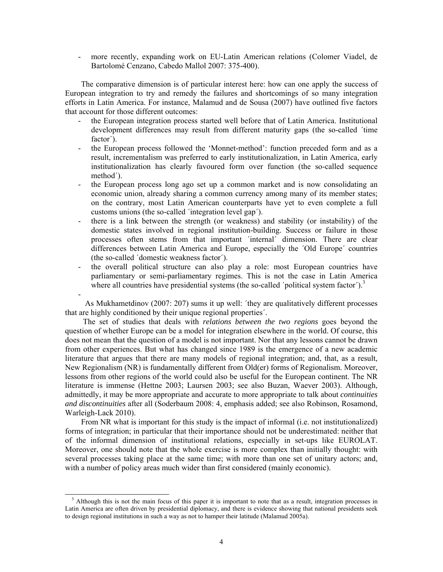- more recently, expanding work on EU-Latin American relations (Colomer Viadel, de Bartolomé Cenzano, Cabedo Mallol 2007: 375-400).

 The comparative dimension is of particular interest here: how can one apply the success of European integration to try and remedy the failures and shortcomings of so many integration efforts in Latin America. For instance, Malamud and de Sousa (2007) have outlined five factors that account for those different outcomes:

- the European integration process started well before that of Latin America. Institutional development differences may result from different maturity gaps (the so-called ´time factor´).
- the European process followed the 'Monnet-method': function preceded form and as a result, incrementalism was preferred to early institutionalization, in Latin America, early institutionalization has clearly favoured form over function (the so-called sequence method´).
- the European process long ago set up a common market and is now consolidating an economic union, already sharing a common currency among many of its member states; on the contrary, most Latin American counterparts have yet to even complete a full customs unions (the so-called ´integration level gap´).
- there is a link between the strength (or weakness) and stability (or instability) of the domestic states involved in regional institution-building. Success or failure in those processes often stems from that important ´internal´ dimension. There are clear differences between Latin America and Europe, especially the ´Old Europe´ countries (the so-called ´domestic weakness factor´).
- the overall political structure can also play a role: most European countries have parliamentary or semi-parliamentary regimes. This is not the case in Latin America where all countries have presidential systems (the so-called  $\gamma$  political system factor $\gamma$ ).<sup>3</sup>

 As Mukhametdinov (2007: 207) sums it up well: ´they are qualitatively different processes that are highly conditioned by their unique regional properties´.

-

 $\overline{a}$ 

 The set of studies that deals with *relations between the two regions* goes beyond the question of whether Europe can be a model for integration elsewhere in the world. Of course, this does not mean that the question of a model is not important. Nor that any lessons cannot be drawn from other experiences. But what has changed since 1989 is the emergence of a new academic literature that argues that there are many models of regional integration; and, that, as a result, New Regionalism (NR) is fundamentally different from Old(er) forms of Regionalism. Moreover, lessons from other regions of the world could also be useful for the European continent. The NR literature is immense (Hettne 2003; Laursen 2003; see also Buzan, Waever 2003). Although, admittedly, it may be more appropriate and accurate to more appropriate to talk about *continuities and discontinuities* after all (Soderbaum 2008: 4, emphasis added; see also Robinson, Rosamond, Warleigh-Lack 2010).

 From NR what is important for this study is the impact of informal (i.e. not institutionalized) forms of integration; in particular that their importance should not be underestimated: neither that of the informal dimension of institutional relations, especially in set-ups like EUROLAT. Moreover, one should note that the whole exercise is more complex than initially thought: with several processes taking place at the same time; with more than one set of unitary actors; and, with a number of policy areas much wider than first considered (mainly economic).

<sup>3</sup> Although this is not the main focus of this paper it is important to note that as a result, integration processes in Latin America are often driven by presidential diplomacy, and there is evidence showing that national presidents seek to design regional institutions in such a way as not to hamper their latitude (Malamud 2005a).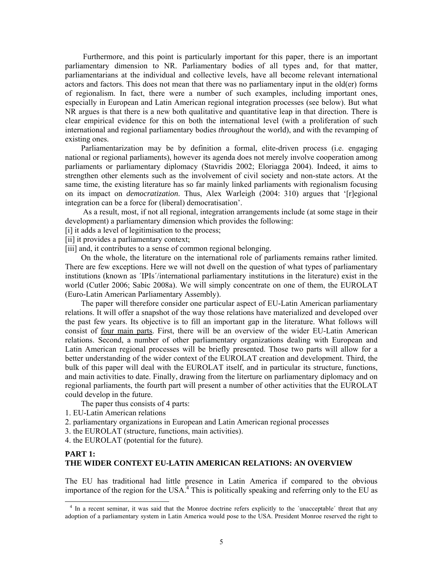Furthermore, and this point is particularly important for this paper, there is an important parliamentary dimension to NR. Parliamentary bodies of all types and, for that matter, parliamentarians at the individual and collective levels, have all become relevant international actors and factors. This does not mean that there was no parliamentary input in the old(er) forms of regionalism. In fact, there were a number of such examples, including important ones, especially in European and Latin American regional integration processes (see below). But what NR argues is that there is a new both qualitative and quantitative leap in that direction. There is clear empirical evidence for this on both the international level (with a proliferation of such international and regional parliamentary bodies *throughout* the world), and with the revamping of existing ones.

 Parliamentarization may be by definition a formal, elite-driven process (i.e. engaging national or regional parliaments), however its agenda does not merely involve cooperation among parliaments or parliamentary diplomacy (Stavridis 2002; Eloriagga 2004). Indeed, it aims to strengthen other elements such as the involvement of civil society and non-state actors. At the same time, the existing literature has so far mainly linked parliaments with regionalism focusing on its impact on *democratization*. Thus, Alex Warleigh (2004: 310) argues that '[r]egional integration can be a force for (liberal) democratisation'.

 As a result, most, if not all regional, integration arrangements include (at some stage in their development) a parliamentary dimension which provides the following:

[i] it adds a level of legitimisation to the process;

[ii] it provides a parliamentary context;

[iii] and, it contributes to a sense of common regional belonging.

 On the whole, the literature on the international role of parliaments remains rather limited. There are few exceptions. Here we will not dwell on the question of what types of parliamentary institutions (known as ´IPIs´/international parliamentary institutions in the literature) exist in the world (Cutler 2006; Sabic 2008a). We will simply concentrate on one of them, the EUROLAT (Euro-Latin American Parliamentary Assembly).

 The paper will therefore consider one particular aspect of EU-Latin American parliamentary relations. It will offer a snapshot of the way those relations have materialized and developed over the past few years. Its objective is to fill an important gap in the literature. What follows will consist of four main parts. First, there will be an overview of the wider EU-Latin American relations. Second, a number of other parliamentary organizations dealing with European and Latin American regional processes will be briefly presented. Those two parts will allow for a better understanding of the wider context of the EUROLAT creation and development. Third, the bulk of this paper will deal with the EUROLAT itself, and in particular its structure, functions, and main activities to date. Finally, drawing from the literture on parliamentary diplomacy and on regional parliaments, the fourth part will present a number of other activities that the EUROLAT could develop in the future.

The paper thus consists of 4 parts:

1. EU-Latin American relations

 $\overline{a}$ 

2. parliamentary organizations in European and Latin American regional processes

- 3. the EUROLAT (structure, functions, main activities).
- 4. the EUROLAT (potential for the future).

#### **PART 1: THE WIDER CONTEXT EU-LATIN AMERICAN RELATIONS: AN OVERVIEW**

The EU has traditional had little presence in Latin America if compared to the obvious importance of the region for the USA. $4$  This is politically speaking and referring only to the EU as

<sup>&</sup>lt;sup>4</sup> In a recent seminar, it was said that the Monroe doctrine refers explicitly to the 'unacceptable' threat that any adoption of a parliamentary system in Latin America would pose to the USA. President Monroe reserved the right to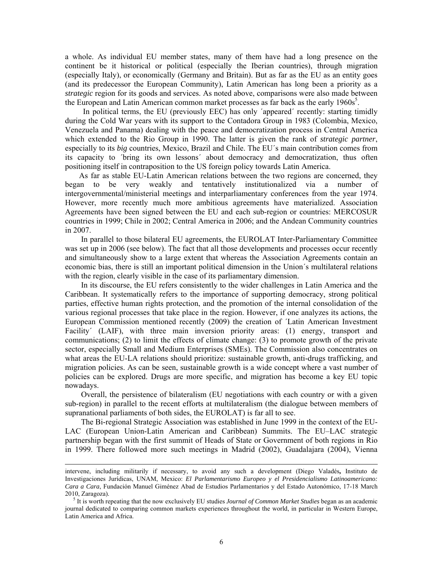a whole. As individual EU member states, many of them have had a long presence on the continent be it historical or political (especially the Iberian countries), through migration (especially Italy), or economically (Germany and Britain). But as far as the EU as an entity goes (and its predecessor the European Community), Latin American has long been a priority as a *strategic* region for its goods and services. As noted above, comparisons were also made between the European and Latin American common market processes as far back as the early  $1960s<sup>5</sup>$ .

 In political terms, the EU (previously EEC) has only ´appeared´ recently: starting timidly during the Cold War years with its support to the Contadora Group in 1983 (Colombia, Mexico, Venezuela and Panama) dealing with the peace and democratization process in Central America which extended to the Rio Group in 1990. The latter is given the rank of *strategic partner*, especially to its *big* countries, Mexico, Brazil and Chile. The EU´s main contribution comes from its capacity to ´bring its own lessons´ about democracy and democratization, thus often positioning itself in contraposition to the US foreign policy towards Latin America.

 As far as stable EU-Latin American relations between the two regions are concerned, they began to be very weakly and tentatively institutionalized via a number of intergovernmental/ministerial meetings and interparliamentary conferences from the year 1974. However, more recently much more ambitious agreements have materialized. Association Agreements have been signed between the EU and each sub-region or countries: MERCOSUR countries in 1999; Chile in 2002; Central America in 2006; and the Andean Community countries in 2007.

 In parallel to those bilateral EU agreements, the EUROLAT Inter-Parliamentary Committee was set up in 2006 (see below). The fact that all those developments and processes occur recently and simultaneously show to a large extent that whereas the Association Agreements contain an economic bias, there is still an important political dimension in the Union´s multilateral relations with the region, clearly visible in the case of its parliamentary dimension.

 In its discourse, the EU refers consistently to the wider challenges in Latin America and the Caribbean. It systematically refers to the importance of supporting democracy, strong political parties, effective human rights protection, and the promotion of the internal consolidation of the various regional processes that take place in the region. However, if one analyzes its actions, the European Commission mentioned recently (2009) the creation of ´Latin American Investment Facility´ (LAIF), with three main inversion priority areas: (1) energy, transport and communications; (2) to limit the effects of climate change: (3) to promote growth of the private sector, especially Small and Medium Enterprises (SMEs). The Commission also concentrates on what areas the EU-LA relations should prioritize: sustainable growth, anti-drugs trafficking, and migration policies. As can be seen, sustainable growth is a wide concept where a vast number of policies can be explored. Drugs are more specific, and migration has become a key EU topic nowadays.

 Overall, the persistence of bilateralism (EU negotiations with each country or with a given sub-region) in parallel to the recent efforts at multilateralism (the dialogue between members of supranational parliaments of both sides, the EUROLAT) is far all to see.

 The Bi-regional Strategic Association was established in June 1999 in the context of the EU-LAC (European Union-Latin American and Caribbean) Summits. The EU–LAC strategic partnership began with the first summit of Heads of State or Government of both regions in Rio in 1999. There followed more such meetings in Madrid (2002), Guadalajara (2004), Vienna

intervene, including militarily if necessary, to avoid any such a development (Diego Valadés**,** Instituto de Investigaciones Jurídicas, UNAM, Mexico: *El Parlamentarismo Europeo y el Presidencialismo Latinoamericano: Cara a Cara*, Fundación Manuel Giménez Abad de Estudios Parlamentarios y del Estado Autonómico, 17-18 March 2010, Zaragoza).

<sup>5</sup> It is worth repeating that the now exclusively EU studies *Journal of Common Market Studies* began as an academic journal dedicated to comparing common markets experiences throughout the world, in particular in Western Europe, Latin America and Africa.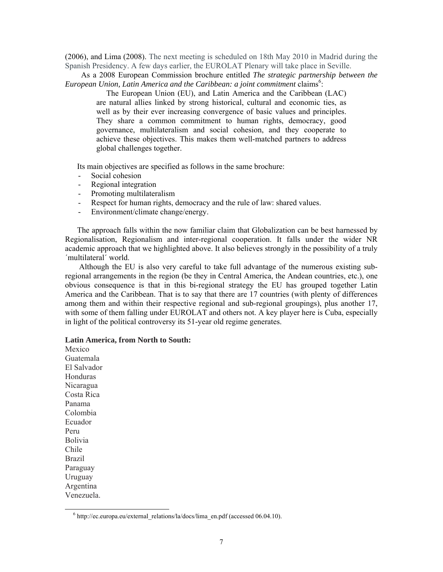(2006), and Lima (2008). The next meeting is scheduled on 18th May 2010 in Madrid during the Spanish Presidency. A few days earlier, the EUROLAT Plenary will take place in Seville.

 As a 2008 European Commission brochure entitled *The strategic partnership between the*  European Union, Latin America and the Caribbean: a joint commitment claims<sup>6</sup>:

 The European Union (EU), and Latin America and the Caribbean (LAC) are natural allies linked by strong historical, cultural and economic ties, as well as by their ever increasing convergence of basic values and principles. They share a common commitment to human rights, democracy, good governance, multilateralism and social cohesion, and they cooperate to achieve these objectives. This makes them well-matched partners to address global challenges together.

Its main objectives are specified as follows in the same brochure:

- Social cohesion
- Regional integration
- Promoting multilateralism
- Respect for human rights, democracy and the rule of law: shared values.
- Environment/climate change/energy.

 The approach falls within the now familiar claim that Globalization can be best harnessed by Regionalisation, Regionalism and inter-regional cooperation. It falls under the wider NR academic approach that we highlighted above. It also believes strongly in the possibility of a truly ´multilateral´ world.

 Although the EU is also very careful to take full advantage of the numerous existing subregional arrangements in the region (be they in Central America, the Andean countries, etc.), one obvious consequence is that in this bi-regional strategy the EU has grouped together Latin America and the Caribbean. That is to say that there are 17 countries (with plenty of differences among them and within their respective regional and sub-regional groupings), plus another 17, with some of them falling under EUROLAT and others not. A key player here is Cuba, especially in light of the political controversy its 51-year old regime generates.

#### **Latin America, from North to South:**

Mexico Guatemala El Salvador Honduras Nicaragua Costa Rica Panama Colombia Ecuador Peru Bolivia Chile Brazil Paraguay Uruguay Argentina Venezuela.

<sup>&</sup>lt;sup>6</sup> http://ec.europa.eu/external\_relations/la/docs/lima\_en.pdf (accessed 06.04.10).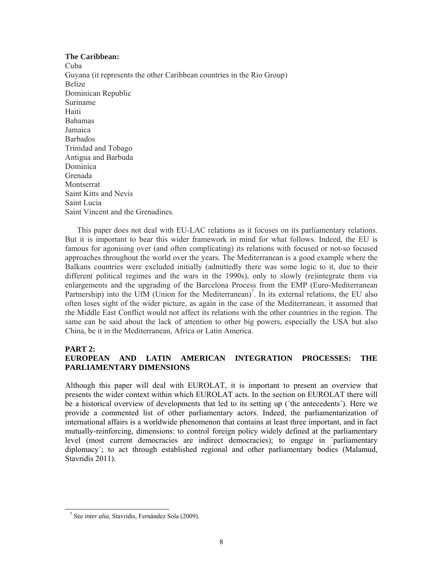#### **The Caribbean:**

Cuba Guyana (it represents the other Caribbean countries in the Rio Group) Belize Dominican Republic Suriname **Haiti** Bahamas Jamaica Barbados Trinidad and Tobago Antigua and Barbuda Dominica Grenada Montserrat Saint Kitts and Nevis Saint Lucia Saint Vincent and the Grenadines.

 This paper does not deal with EU-LAC relations as it focuses on its parliamentary relations. But it is important to bear this wider framework in mind for what follows. Indeed, the EU is famous for agonising over (and often complicating) its relations with focused or not-so focused approaches throughout the world over the years. The Mediterranean is a good example where the Balkans countries were excluded initially (admittedly there was some logic to it, due to their different political regimes and the wars in the 1990s), only to slowly (re)integrate them via enlargements and the upgrading of the Barcelona Process from the EMP (Euro-Mediterranean Partnership) into the UfM (Union for the Mediterranean)<sup>7</sup>. In its external relations, the EU also often loses sight of the wider picture, as again in the case of the Mediterranean, it assumed that the Middle East Conflict would not affect its relations with the other countries in the region. The same can be said about the lack of attention to other big powers, especially the USA but also China, be it in the Mediterranean, Africa or Latin America.

#### **PART 2:**

 $\overline{a}$ 

# **EUROPEAN AND LATIN AMERICAN INTEGRATION PROCESSES: THE PARLIAMENTARY DIMENSIONS**

Although this paper will deal with EUROLAT, it is important to present an overview that presents the wider context within which EUROLAT acts. In the section on EUROLAT there will be a historical overview of developments that led to its setting up (´the antecedents´). Here we provide a commented list of other parliamentary actors. Indeed, the parliamentarization of international affairs is a worldwide phenomenon that contains at least three important, and in fact mutually-reinforcing, dimensions: to control foreign policy widely defined at the parliamentary level (most current democracies are indirect democracies); to engage in ´parliamentary diplomacy´; to act through established regional and other parliamentary bodies (Malamud, Stavridis 2011).

7 See *inter alia*, Stavridis, Fernández Sola (2009).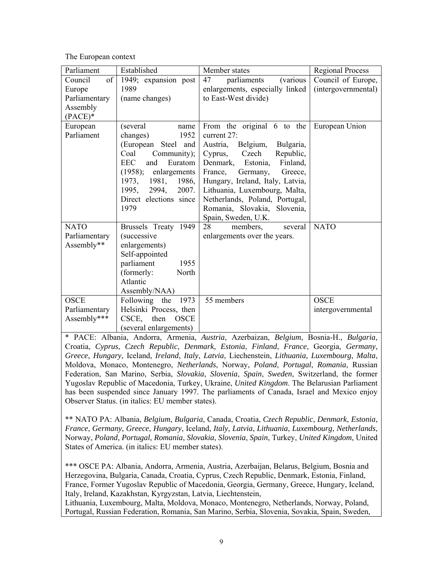The European context

| Parliament    | Established                                  | Member states                                                     | <b>Regional Process</b> |
|---------------|----------------------------------------------|-------------------------------------------------------------------|-------------------------|
| of<br>Council | 1949; expansion post                         | <i>(various</i><br>parliaments<br>47                              | Council of Europe,      |
| Europe        | 1989                                         | enlargements, especially linked                                   | (intergovernmental)     |
| Parliamentary | (name changes)                               | to East-West divide)                                              |                         |
| Assembly      |                                              |                                                                   |                         |
| $(PACE)*$     |                                              |                                                                   |                         |
| European      | (several)<br>name                            | From the original $6$ to the                                      | European Union          |
| Parliament    | 1952<br>changes)                             | current 27:                                                       |                         |
|               | (European Steel and                          | Austria, Belgium,<br>Bulgaria,                                    |                         |
|               | Coal<br>Community);                          | Czech<br>Republic,<br>Cyprus,                                     |                         |
|               | <b>EEC</b><br>Euratom<br>and                 | Denmark, Estonia,<br>Finland,                                     |                         |
|               | $(1958)$ ; enlargements                      | France,<br>Germany,<br>Greece,                                    |                         |
|               | 1973, 1981, 1986,<br>1995,<br>2994,<br>2007. | Hungary, Ireland, Italy, Latvia,<br>Lithuania, Luxembourg, Malta, |                         |
|               | Direct elections since                       | Netherlands, Poland, Portugal,                                    |                         |
|               | 1979                                         | Romania, Slovakia, Slovenia,                                      |                         |
|               |                                              | Spain, Sweden, U.K.                                               |                         |
| <b>NATO</b>   | Brussels Treaty 1949                         | 28<br>members,<br>several                                         | <b>NATO</b>             |
| Parliamentary | <i>(successive</i> )                         | enlargements over the years.                                      |                         |
| Assembly**    | enlargements)                                |                                                                   |                         |
|               | Self-appointed                               |                                                                   |                         |
|               | parliament<br>1955                           |                                                                   |                         |
|               | (formerly:<br>North                          |                                                                   |                         |
|               | Atlantic                                     |                                                                   |                         |
|               | Assembly/NAA)                                |                                                                   |                         |
| <b>OSCE</b>   | Following the<br>1973                        | 55 members                                                        | <b>OSCE</b>             |
| Parliamentary | Helsinki Process, then                       |                                                                   | intergovernmental       |
| Assembly***   | <b>OSCE</b><br>CSCE,<br>then                 |                                                                   |                         |
|               | (several enlargements)                       |                                                                   |                         |

\* PACE: Albania, Andorra, Armenia, *Austria*, Azerbaizan, *Belgium*, Bosnia-H., *Bulgaria*, Croatia, *Cyprus*, *Czech Republic*, *Denmark*, *Estonia*, *Finland*, *France*, Georgia, *Germany*, *Greece*, *Hungary*, Iceland, *Ireland*, *Italy*, *Latvia*, Liechenstein, *Lithuania*, *Luxembourg*, *Malta*, Moldova, Monaco, Montenegro, *Netherlands*, Norway, *Poland*, *Portugal*, *Romania*, Russian Federation, San Marino, Serbia, *Slovakia*, *Slovenia*, *Spain*, *Sweden*, Switzerland, the former Yugoslav Republic of Macedonia, Turkey, Ukraine, *United Kingdom*. The Belarusian Parliament has been suspended since January 1997. The parliaments of Canada, Israel and Mexico enjoy Observer Status. (in italics: EU member states).

\*\* NATO PA: Albania, *Belgium*, *Bulgaria*, Canada, Croatia, *Czech Republic*, *Denmark*, *Estonia*, *France*, *Germany*, *Greece*, *Hungary*, Iceland, *Italy*, *Latvia*, *Lithuania*, *Luxembourg*, *Netherlands*, Norway, *Poland*, *Portugal*, *Romania*, *Slovakia*, *Slovenia*, *Spain*, Turkey, *United Kingdom*, United States of America. (in italics: EU member states).

\*\*\* OSCE PA: Albania, Andorra, Armenia, Austria, Azerbaijan, Belarus, Belgium, Bosnia and Herzegovina, Bulgaria, Canada, Croatia, Cyprus, Czech Republic, Denmark, Estonia, Finland, France, Former Yugoslav Republic of Macedonia, Georgia, Germany, Greece, Hungary, Iceland, Italy, Ireland, Kazakhstan, Kyrgyzstan, Latvia, Liechtenstein,

Lithuania, Luxembourg, Malta, Moldova, Monaco, Montenegro, Netherlands, Norway, Poland, Portugal, Russian Federation, Romania, San Marino, Serbia, Slovenia, Sovakia, Spain, Sweden,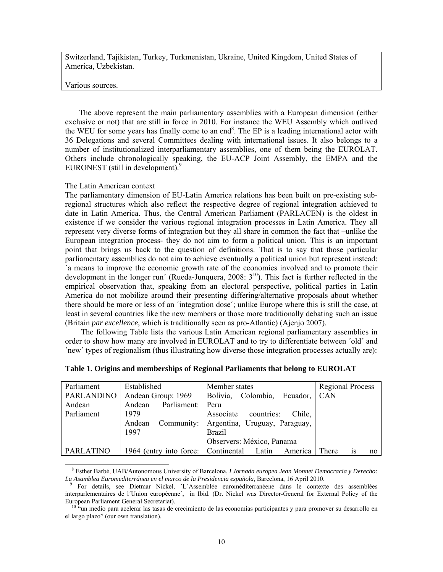Switzerland, Tajikistan, Turkey, Turkmenistan, Ukraine, United Kingdom, United States of America, Uzbekistan.

Various sources.

 The above represent the main parliamentary assemblies with a European dimension (either exclusive or not) that are still in force in 2010. For instance the WEU Assembly which outlived the WEU for some years has finally come to an end<sup>8</sup>. The EP is a leading international actor with 36 Delegations and several Committees dealing with international issues. It also belongs to a number of institutionalized interparliamentary assemblies, one of them being the EUROLAT. Others include chronologically speaking, the EU-ACP Joint Assembly, the EMPA and the EURONEST (still in development).<sup>9</sup>

#### The Latin American context

 $\overline{a}$ 

The parliamentary dimension of EU-Latin America relations has been built on pre-existing subregional structures which also reflect the respective degree of regional integration achieved to date in Latin America. Thus, the Central American Parliament (PARLACEN) is the oldest in existence if we consider the various regional integration processes in Latin America. They all represent very diverse forms of integration but they all share in common the fact that –unlike the European integration process- they do not aim to form a political union. This is an important point that brings us back to the question of definitions. That is to say that those particular parliamentary assemblies do not aim to achieve eventually a political union but represent instead: ´a means to improve the economic growth rate of the economies involved and to promote their development in the longer run' (Rueda-Junquera, 2008:  $3^{10}$ ). This fact is further reflected in the empirical observation that, speaking from an electoral perspective, political parties in Latin America do not mobilize around their presenting differing/alternative proposals about whether there should be more or less of an ´integration dose´; unlike Europe where this is still the case, at least in several countries like the new members or those more traditionally debating such an issue (Britain *par excellence*, which is traditionally seen as pro-Atlantic) (Ajenjo 2007).

 The following Table lists the various Latin American regional parliamentary assemblies in order to show how many are involved in EUROLAT and to try to differentiate between ´old´ and ´new´ types of regionalism (thus illustrating how diverse those integration processes actually are):

| Parliament        | Established                         | Member states                              | <b>Regional Process</b> |
|-------------------|-------------------------------------|--------------------------------------------|-------------------------|
| <b>PARLANDINO</b> | Andean Group: 1969                  | Bolivia, Colombia, Ecuador, CAN            |                         |
| Andean            | Parliament: Peru<br>Andean          |                                            |                         |
| Parliament        | 1979                                | Associate countries:<br>Chile.             |                         |
|                   | Andean                              | Community:   Argentina, Uruguay, Paraguay, |                         |
|                   | 1997                                | <b>Brazil</b>                              |                         |
|                   |                                     | Observers: México, Panama                  |                         |
| <b>PARLATINO</b>  | 1964 (entry into force: Continental | Latin<br>America                           | There<br>no<br>1S       |

|  | Table 1. Origins and memberships of Regional Parliaments that belong to EUROLAT |  |  |
|--|---------------------------------------------------------------------------------|--|--|
|  |                                                                                 |  |  |

<sup>8</sup> Esther Barbé, UAB/Autonomous University of Barcelona, *I Jornada europea Jean Monnet Democracia y Derecho: La Asamblea Euromediterránea en el marco de la Presidencia española*, Barcelona, 16 April 2010.

9 For details, see Dietmar Níckel, ´L´Assemblée euroméditerranéene dans le contexte des assemblées interparlementaires de l´Union européenne´, in Ibid. (Dr. Níckel was Director-General for External Policy of the European Parliament General Secretariat).

 $10$   $\alpha$  un medio para acelerar las tasas de crecimiento de las economías participantes y para promover su desarrollo en el largo plazo" (our own translation).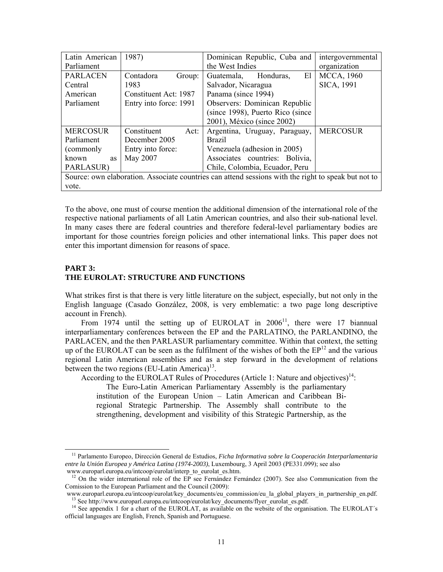| Latin American                                                                                      | 1987)                  | Dominican Republic, Cuba and      | intergovernmental |
|-----------------------------------------------------------------------------------------------------|------------------------|-----------------------------------|-------------------|
| Parliament                                                                                          |                        | the West Indies                   | organization      |
| <b>PARLACEN</b>                                                                                     | Contadora<br>Group:    | El<br>Honduras,<br>Guatemala,     | <b>MCCA, 1960</b> |
| Central                                                                                             | 1983                   | Salvador, Nicaragua               | SICA, 1991        |
| American                                                                                            | Constituent Act: 1987  | Panama (since 1994)               |                   |
| Parliament                                                                                          | Entry into force: 1991 | Observers: Dominican Republic     |                   |
|                                                                                                     |                        | (since 1998), Puerto Rico (since) |                   |
|                                                                                                     |                        | 2001), México (since 2002)        |                   |
| <b>MERCOSUR</b>                                                                                     | Constituent<br>Act:    | Argentina, Uruguay, Paraguay,     | <b>MERCOSUR</b>   |
| Parliament                                                                                          | December 2005          | <b>Brazil</b>                     |                   |
| (commonly)                                                                                          | Entry into force:      | Venezuela (adhesion in 2005)      |                   |
| known<br>as                                                                                         | May 2007               | Associates countries: Bolivia,    |                   |
| PARLASUR)                                                                                           |                        | Chile, Colombia, Ecuador, Peru    |                   |
| Source: own elaboration. Associate countries can attend sessions with the right to speak but not to |                        |                                   |                   |
| vote.                                                                                               |                        |                                   |                   |

To the above, one must of course mention the additional dimension of the international role of the respective national parliaments of all Latin American countries, and also their sub-national level. In many cases there are federal countries and therefore federal-level parliamentary bodies are important for those countries foreign policies and other international links. This paper does not enter this important dimension for reasons of space.

# **PART 3: THE EUROLAT: STRUCTURE AND FUNCTIONS**

 $\overline{a}$ 

What strikes first is that there is very little literature on the subject, especially, but not only in the English language (Casado González, 2008, is very emblematic: a two page long descriptive account in French).

From 1974 until the setting up of EUROLAT in  $2006<sup>11</sup>$ , there were 17 biannual interparliamentary conferences between the EP and the PARLATINO, the PARLANDINO, the PARLACEN, and the then PARLASUR parliamentary committee. Within that context, the setting up of the EUROLAT can be seen as the fulfilment of the wishes of both the  $EP<sup>12</sup>$  and the various regional Latin American assemblies and as a step forward in the development of relations between the two regions (EU-Latin America) $<sup>13</sup>$ .</sup>

According to the EUROLAT Rules of Procedures (Article 1: Nature and objectives)<sup>14</sup>:

 The Euro-Latin American Parliamentary Assembly is the parliamentary institution of the European Union – Latin American and Caribbean Biregional Strategic Partnership. The Assembly shall contribute to the strengthening, development and visibility of this Strategic Partnership, as the

11 Parlamento Europeo, Dirección General de Estudios, *Ficha Informativa sobre la Cooperación Interparlamentaria entre la Unión Europea y América Latina (1974-2003)*, Luxembourg, 3 April 2003 (PE331.099); see also www.europarl.europa.eu/intcoop/eurolat/interp\_to\_eurolat\_es.htm.

<sup>&</sup>lt;sup>12</sup> On the wider international role of the EP see Fernández Fernández (2007). See also Communication from the Comission to the European Parliament and the Council (2009):

www.europarl.europa.eu/intcoop/eurolat/key\_documents/eu\_commission/eu\_la\_global\_players\_in\_partnership\_en.pdf. <sup>13</sup> See http://www.europarl.europa.eu/intcoop/eurolat/key\_documents/flyer\_eurolat\_es.pdf.

<sup>&</sup>lt;sup>14</sup> See appendix 1 for a chart of the EUROLAT, as available on the website of the organisation. The EUROLAT's official languages are English, French, Spanish and Portuguese.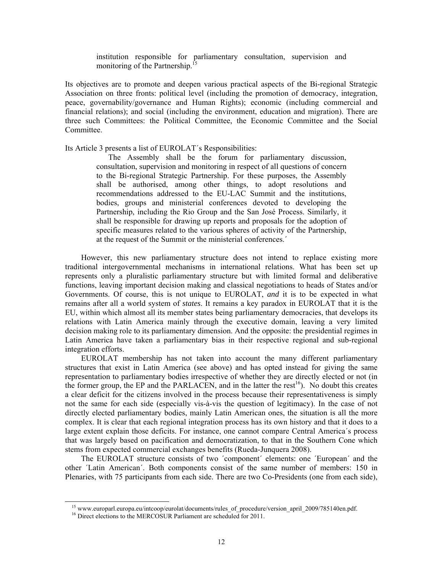institution responsible for parliamentary consultation, supervision and monitoring of the Partnership.<sup>15</sup>

Its objectives are to promote and deepen various practical aspects of the Bi-regional Strategic Association on three fronts: political level (including the promotion of democracy, integration, peace, governability/governance and Human Rights); economic (including commercial and financial relations); and social (including the environment, education and migration). There are three such Committees: the Political Committee, the Economic Committee and the Social Committee.

### Its Article 3 presents a list of EUROLAT´s Responsibilities:

 The Assembly shall be the forum for parliamentary discussion, consultation, supervision and monitoring in respect of all questions of concern to the Bi-regional Strategic Partnership. For these purposes, the Assembly shall be authorised, among other things, to adopt resolutions and recommendations addressed to the EU-LAC Summit and the institutions, bodies, groups and ministerial conferences devoted to developing the Partnership, including the Rio Group and the San José Process. Similarly, it shall be responsible for drawing up reports and proposals for the adoption of specific measures related to the various spheres of activity of the Partnership, at the request of the Summit or the ministerial conferences.´

 However, this new parliamentary structure does not intend to replace existing more traditional intergovernmental mechanisms in international relations. What has been set up represents only a pluralistic parliamentary structure but with limited formal and deliberative functions, leaving important decision making and classical negotiations to heads of States and/or Governments. Of course, this is not unique to EUROLAT, *and* it is to be expected in what remains after all a world system of *states*. It remains a key paradox in EUROLAT that it is the EU, within which almost all its member states being parliamentary democracies, that develops its relations with Latin America mainly through the executive domain, leaving a very limited decision making role to its parliamentary dimension. And the opposite: the presidential regimes in Latin America have taken a parliamentary bias in their respective regional and sub-regional integration efforts.

 EUROLAT membership has not taken into account the many different parliamentary structures that exist in Latin America (see above) and has opted instead for giving the same representation to parliamentary bodies irrespective of whether they are directly elected or not (in the former group, the EP and the PARLACEN, and in the latter the rest<sup>16</sup>). No doubt this creates a clear deficit for the citizens involved in the process because their representativeness is simply not the same for each side (especially vis-à-vis the question of legitimacy). In the case of not directly elected parliamentary bodies, mainly Latin American ones, the situation is all the more complex. It is clear that each regional integration process has its own history and that it does to a large extent explain those deficits. For instance, one cannot compare Central America´s process that was largely based on pacification and democratization, to that in the Southern Cone which stems from expected commercial exchanges benefits (Rueda-Junquera 2008).

 The EUROLAT structure consists of two ´component´ elements: one ´European´ and the other ´Latin American´. Both components consist of the same number of members: 150 in Plenaries, with 75 participants from each side. There are two Co-Presidents (one from each side),

<sup>&</sup>lt;sup>15</sup> www.europarl.europa.eu/intcoop/eurolat/documents/rules\_of\_procedure/version\_april\_2009/785140en.pdf.

<sup>&</sup>lt;sup>16</sup> Direct elections to the MERCOSUR Parliament are scheduled for 2011.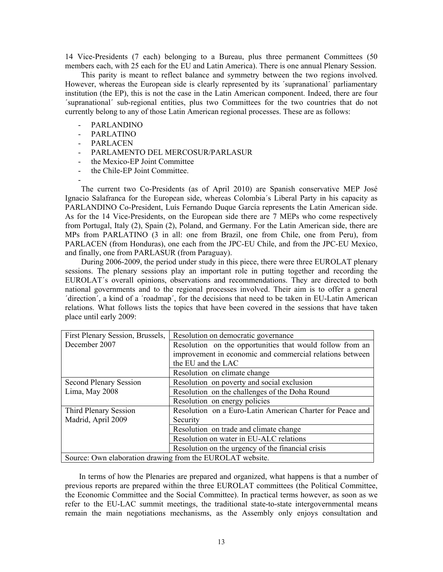14 Vice-Presidents (7 each) belonging to a Bureau, plus three permanent Committees (50 members each, with 25 each for the EU and Latin America). There is one annual Plenary Session.

 This parity is meant to reflect balance and symmetry between the two regions involved. However, whereas the European side is clearly represented by its ´supranational´ parliamentary institution (the EP), this is not the case in the Latin American component. Indeed, there are four ´supranational´ sub-regional entities, plus two Committees for the two countries that do not currently belong to any of those Latin American regional processes. These are as follows:

- PARLANDINO
- PARLATINO
- **PARLACEN**

-

- PARLAMENTO DEL MERCOSUR/PARLASUR
- the Mexico-EP Joint Committee
- the Chile-EP Joint Committee.

 The current two Co-Presidents (as of April 2010) are Spanish conservative MEP José Ignacio Salafranca for the European side, whereas Colombia´s Liberal Party in his capacity as PARLANDINO Co-President, Luís Fernando Duque García represents the Latin American side. As for the 14 Vice-Presidents, on the European side there are 7 MEPs who come respectively from Portugal, Italy (2), Spain (2), Poland, and Germany. For the Latin American side, there are MPs from PARLATINO (3 in all: one from Brazil, one from Chile, one from Peru), from PARLACEN (from Honduras), one each from the JPC-EU Chile, and from the JPC-EU Mexico, and finally, one from PARLASUR (from Paraguay).

 During 2006-2009, the period under study in this piece, there were three EUROLAT plenary sessions. The plenary sessions play an important role in putting together and recording the EUROLAT´s overall opinions, observations and recommendations. They are directed to both national governments and to the regional processes involved. Their aim is to offer a general ´direction´, a kind of a ´roadmap´, for the decisions that need to be taken in EU-Latin American relations. What follows lists the topics that have been covered in the sessions that have taken place until early 2009:

| First Plenary Session, Brussels,                          | Resolution on democratic governance                       |  |
|-----------------------------------------------------------|-----------------------------------------------------------|--|
| December 2007                                             | Resolution on the opportunities that would follow from an |  |
|                                                           | improvement in economic and commercial relations between  |  |
|                                                           | the EU and the LAC                                        |  |
|                                                           | Resolution on climate change                              |  |
| Second Plenary Session                                    | Resolution on poverty and social exclusion                |  |
| Lima, May 2008                                            | Resolution on the challenges of the Doha Round            |  |
|                                                           | Resolution on energy policies                             |  |
| Third Plenary Session                                     | Resolution on a Euro-Latin American Charter for Peace and |  |
| Madrid, April 2009                                        | Security                                                  |  |
|                                                           | Resolution on trade and climate change                    |  |
|                                                           | Resolution on water in EU-ALC relations                   |  |
|                                                           | Resolution on the urgency of the financial crisis         |  |
| Source: Own elaboration drawing from the EUROLAT website. |                                                           |  |

 In terms of how the Plenaries are prepared and organized, what happens is that a number of previous reports are prepared within the three EUROLAT committees (the Political Committee, the Economic Committee and the Social Committee). In practical terms however, as soon as we refer to the EU-LAC summit meetings, the traditional state-to-state intergovernmental means remain the main negotiations mechanisms, as the Assembly only enjoys consultation and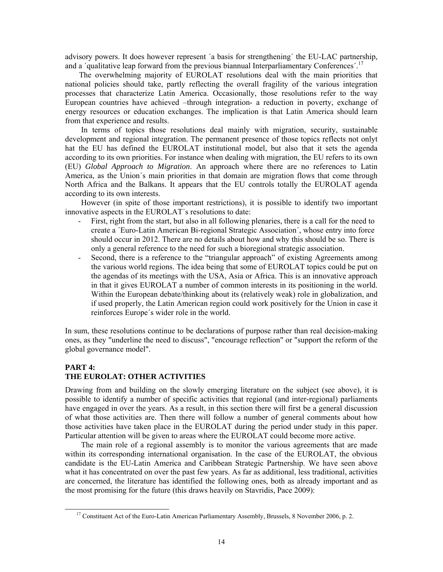advisory powers. It does however represent ´a basis for strengthening´ the EU-LAC partnership, and a 'qualitative leap forward from the previous biannual Interparliamentary Conferences'.<sup>17</sup>

 The overwhelming majority of EUROLAT resolutions deal with the main priorities that national policies should take, partly reflecting the overall fragility of the various integration processes that characterize Latin America. Occasionally, those resolutions refer to the way European countries have achieved –through integration- a reduction in poverty, exchange of energy resources or education exchanges. The implication is that Latin America should learn from that experience and results.

 In terms of topics those resolutions deal mainly with migration, security, sustainable development and regional integration. The permanent presence of those topics reflects not onlyt hat the EU has defined the EUROLAT institutional model, but also that it sets the agenda according to its own priorities. For instance when dealing with migration, the EU refers to its own (EU) *Global Approach to Migration*. An approach where there are no references to Latin America, as the Union´s main priorities in that domain are migration flows that come through North Africa and the Balkans. It appears that the EU controls totally the EUROLAT agenda according to its own interests.

 However (in spite of those important restrictions), it is possible to identify two important innovative aspects in the EUROLAT´s resolutions to date:

- First, right from the start, but also in all following plenaries, there is a call for the need to create a ´Euro-Latin American Bi-regional Strategic Association´, whose entry into force should occur in 2012. There are no details about how and why this should be so. There is only a general reference to the need for such a bioregional strategic association.
- Second, there is a reference to the "triangular approach" of existing Agreements among the various world regions. The idea being that some of EUROLAT topics could be put on the agendas of its meetings with the USA, Asia or Africa. This is an innovative approach in that it gives EUROLAT a number of common interests in its positioning in the world. Within the European debate/thinking about its (relatively weak) role in globalization, and if used properly, the Latin American region could work positively for the Union in case it reinforces Europe´s wider role in the world.

In sum, these resolutions continue to be declarations of purpose rather than real decision-making ones, as they "underline the need to discuss", "encourage reflection" or "support the reform of the global governance model".

#### **PART 4:**

 $\overline{a}$ 

# **THE EUROLAT: OTHER ACTIVITIES**

Drawing from and building on the slowly emerging literature on the subject (see above), it is possible to identify a number of specific activities that regional (and inter-regional) parliaments have engaged in over the years. As a result, in this section there will first be a general discussion of what those activities are. Then there will follow a number of general comments about how those activities have taken place in the EUROLAT during the period under study in this paper. Particular attention will be given to areas where the EUROLAT could become more active.

 The main role of a regional assembly is to monitor the various agreements that are made within its corresponding international organisation. In the case of the EUROLAT, the obvious candidate is the EU-Latin America and Caribbean Strategic Partnership. We have seen above what it has concentrated on over the past few years. As far as additional, less traditional, activities are concerned, the literature has identified the following ones, both as already important and as the most promising for the future (this draws heavily on Stavridis, Pace 2009):

<sup>&</sup>lt;sup>17</sup> Constituent Act of the Euro-Latin American Parliamentary Assembly, Brussels, 8 November 2006, p. 2.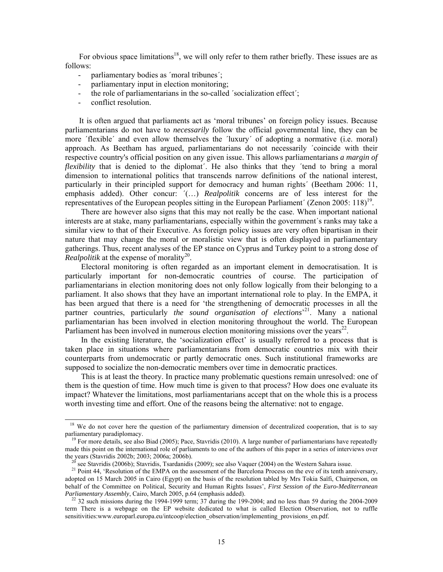For obvious space limitations<sup>18</sup>, we will only refer to them rather briefly. These issues are as follows:

- parliamentary bodies as 'moral tribunes';
- parliamentary input in election monitoring;
- the role of parliamentarians in the so-called 'socialization effect';
- conflict resolution.

 $\overline{a}$ 

 It is often argued that parliaments act as 'moral tribunes' on foreign policy issues. Because parliamentarians do not have to *necessarily* follow the official governmental line, they can be more ´flexible´ and even allow themselves the ´luxury´ of adopting a normative (i.e. moral) approach. As Beetham has argued, parliamentarians do not necessarily ´coincide with their respective country's official position on any given issue. This allows parliamentarians *a margin of flexibility* that is denied to the diplomat<sup>'</sup>. He also thinks that they 'tend to bring a moral dimension to international politics that transcends narrow definitions of the national interest, particularly in their principled support for democracy and human rights´ (Beetham 2006: 11, emphasis added). Other concur: ´(…) *Realpolitik* concerns are of less interest for the representatives of the European peoples sitting in the European Parliament' (Zenon 2005:  $118$ )<sup>19</sup>.

 There are however also signs that this may not really be the case. When important national interests are at stake, many parliamentarians, especially within the government´s ranks may take a similar view to that of their Executive. As foreign policy issues are very often bipartisan in their nature that may change the moral or moralistic view that is often displayed in parliamentary gatherings. Thus, recent analyses of the EP stance on Cyprus and Turkey point to a strong dose of *Realpolitik* at the expense of morality<sup>20</sup>.

 Electoral monitoring is often regarded as an important element in democratisation. It is particularly important for non-democratic countries of course. The participation of parliamentarians in election monitoring does not only follow logically from their belonging to a parliament. It also shows that they have an important international role to play. In the EMPA, it has been argued that there is a need for 'the strengthening of democratic processes in all the partner countries, particularly *the sound organisation of elections*' 21. Many a national parliamentarian has been involved in election monitoring throughout the world. The European Parliament has been involved in numerous election monitoring missions over the years<sup>22</sup>.

 In the existing literature, the 'socialization effect' is usually referred to a process that is taken place in situations where parliamentarians from democratic countries mix with their counterparts from undemocratic or partly democratic ones. Such institutional frameworks are supposed to socialize the non-democratic members over time in democratic practices.

 This is at least the theory. In practice many problematic questions remain unresolved: one of them is the question of time. How much time is given to that process? How does one evaluate its impact? Whatever the limitations, most parliamentarians accept that on the whole this is a process worth investing time and effort. One of the reasons being the alternative: not to engage.

<sup>&</sup>lt;sup>18</sup> We do not cover here the question of the parliamentary dimension of decentralized cooperation, that is to say parliamentary paradiplomacy.

<sup>&</sup>lt;sup>19</sup> For more details, see also Biad (2005); Pace, Stavridis (2010). A large number of parliamentarians have repeatedly made this point on the international role of parliaments to one of the authors of this paper in a series of interviews over the years (Stavridis 2002b; 2003; 2006a; 2006b).

20 see Stavridis (2006b); Stavridis, Tsardanidis (2009); see also Vaquer (2004) on the Western Sahara issue.

<sup>&</sup>lt;sup>21</sup> Point 44. 'Resolution of the EMPA on the assessment of the Barcelona Process on the eve of its tenth anniversary, adopted on 15 March 2005 in Cairo (Egypt) on the basis of the resolution tabled by Mrs Tokia Saïfi, Chairperson, on behalf of the Committee on Political, Security and Human Rights Issues', *First Session of the Euro-Mediterranean Parliamentary Assembly*, Cairo, March 2005, p.64 (emphasis added).

22 32 such missions during the 1994-1999 term; 37 during the 199-2004; and no less than 59 during the 2004-2009 term There is a webpage on the EP website dedicated to what is called Election Observation, not to ruffle sensitivities:www.europarl.europa.eu/intcoop/election\_observation/implementing\_provisions\_en.pdf.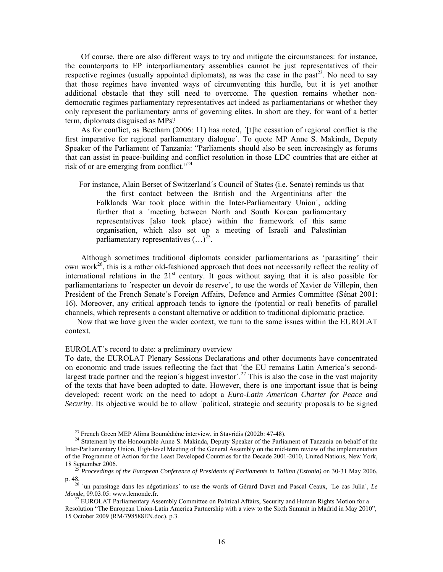Of course, there are also different ways to try and mitigate the circumstances: for instance, the counterparts to EP interparliamentary assemblies cannot be just representatives of their respective regimes (usually appointed diplomats), as was the case in the past<sup>23</sup>. No need to say that those regimes have invented ways of circumventing this hurdle, but it is yet another additional obstacle that they still need to overcome. The question remains whether nondemocratic regimes parliamentary representatives act indeed as parliamentarians or whether they only represent the parliamentary arms of governing elites. In short are they, for want of a better term, diplomats disguised as MPs?

 As for conflict, as Beetham (2006: 11) has noted, ´[t]he cessation of regional conflict is the first imperative for regional parliamentary dialogue´. To quote MP Anne S. Makinda, Deputy Speaker of the Parliament of Tanzania: "Parliaments should also be seen increasingly as forums that can assist in peace-building and conflict resolution in those LDC countries that are either at risk of or are emerging from conflict."<sup>24</sup>

 For instance, Alain Berset of Switzerland´s Council of States (i.e. Senate) reminds us that the first contact between the British and the Argentinians after the Falklands War took place within the Inter-Parliamentary Union´, adding further that a ´meeting between North and South Korean parliamentary representatives [also took place) within the framework of this same organisation, which also set up a meeting of Israeli and Palestinian parliamentary representatives  $(\ldots)^{25}$ .

 Although sometimes traditional diplomats consider parliamentarians as 'parasiting' their own work<sup>26</sup>, this is a rather old-fashioned approach that does not necessarily reflect the reality of international relations in the  $21<sup>st</sup>$  century. It goes without saying that it is also possible for parliamentarians to ´respecter un devoir de reserve´, to use the words of Xavier de Villepin, then President of the French Senate´s Foreign Affairs, Defence and Armies Committee (Sénat 2001: 16). Moreover, any critical approach tends to ignore the (potential or real) benefits of parallel channels, which represents a constant alternative or addition to traditional diplomatic practice.

 Now that we have given the wider context, we turn to the same issues within the EUROLAT context.

#### EUROLAT´s record to date: a preliminary overview

 $\overline{a}$ 

To date, the EUROLAT Plenary Sessions Declarations and other documents have concentrated on economic and trade issues reflecting the fact that ´the EU remains Latin America´s secondlargest trade partner and the region's biggest investor'.<sup>27</sup> This is also the case in the vast majority of the texts that have been adopted to date. However, there is one important issue that is being developed: recent work on the need to adopt a *Euro-Latin American Charter for Peace and Security*. Its objective would be to allow ´political, strategic and security proposals to be signed

23 French Green MEP Alima Boumédiène interview, in Stavridis (2002b: 47-48).

<sup>&</sup>lt;sup>24</sup> Statement by the Honourable Anne S. Makinda, Deputy Speaker of the Parliament of Tanzania on behalf of the Inter-Parliamentary Union, High-level Meeting of the General Assembly on the mid-term review of the implementation of the Programme of Action for the Least Developed Countries for the Decade 2001-2010, United Nations, New York, 18 September 2006.

<sup>25</sup> *Proceedings of the European Conference of Presidents of Parliaments in Tallinn (Estonia)* on 30-31 May 2006, p.  $48.$ <sub>26</sub>

26 ´un parasitage dans les négotiations´ to use the words of Gérard Davet and Pascal Ceaux, ´Le cas Julia´, *Le Monde*, 09.03.05: www.lemonde.fr.

<sup>&</sup>lt;sup>27</sup> EUROLAT Parliamentary Assembly Committee on Political Affairs, Security and Human Rights Motion for a Resolution "The European Union-Latin America Partnership with a view to the Sixth Summit in Madrid in May 2010", 15 October 2009 (RM/798588EN.doc), p.3.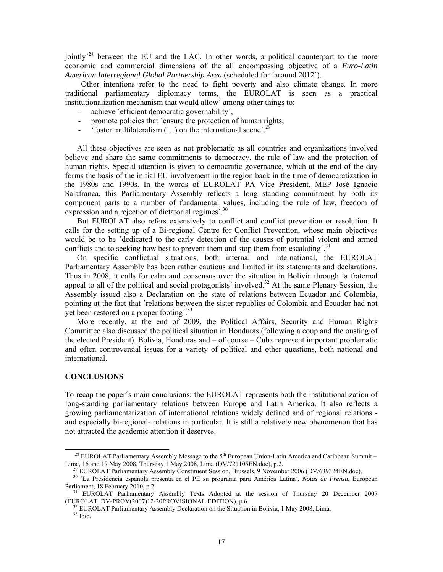jointly<sup>'28</sup> between the EU and the LAC. In other words, a political counterpart to the more economic and commercial dimensions of the all encompassing objective of a *Euro-Latin American Interregional Global Partnership Area* (scheduled for ´around 2012´).

 Other intentions refer to the need to fight poverty and also climate change. In more traditional parliamentary diplomacy terms, the EUROLAT is seen as a practical institutionalization mechanism that would allow´ among other things to:

- achieve 'efficient democratic governability',
- promote policies that 'ensure the protection of human rights,
- 'foster multilateralism  $(...)$  on the international scene'.<sup>29</sup>

 All these objectives are seen as not problematic as all countries and organizations involved believe and share the same commitments to democracy, the rule of law and the protection of human rights. Special attention is given to democratic governance, which at the end of the day forms the basis of the initial EU involvement in the region back in the time of democratization in the 1980s and 1990s. In the words of EUROLAT PA Vice President, MEP José Ignacio Salafranca, this Parliamentary Assembly reflects a long standing commitment by both its component parts to a number of fundamental values, including the rule of law, freedom of expression and a rejection of dictatorial regimes<sup>'.30</sup>

 But EUROLAT also refers extensively to conflict and conflict prevention or resolution. It calls for the setting up of a Bi-regional Centre for Conflict Prevention, whose main objectives would be to be ´dedicated to the early detection of the causes of potential violent and armed conflicts and to seeking how best to prevent them and stop them from escalating<sup>'.31</sup>

 On specific conflictual situations, both internal and international, the EUROLAT Parliamentary Assembly has been rather cautious and limited in its statements and declarations. Thus in 2008, it calls for calm and consensus over the situation in Bolivia through ´a fraternal appeal to all of the political and social protagonists' involved.<sup>32</sup> At the same Plenary Session, the Assembly issued also a Declaration on the state of relations between Ecuador and Colombia, pointing at the fact that ´relations between the sister republics of Colombia and Ecuador had not yet been restored on a proper footing<sup>'.33</sup>

 More recently, at the end of 2009, the Political Affairs, Security and Human Rights Committee also discussed the political situation in Honduras (following a coup and the ousting of the elected President). Bolivia, Honduras and – of course – Cuba represent important problematic and often controversial issues for a variety of political and other questions, both national and international.

#### **CONCLUSIONS**

To recap the paper´s main conclusions: the EUROLAT represents both the institutionalization of long-standing parliamentary relations between Europe and Latin America. It also reflects a growing parliamentarization of international relations widely defined and of regional relations and especially bi-regional- relations in particular. It is still a relatively new phenomenon that has not attracted the academic attention it deserves.

<sup>&</sup>lt;sup>28</sup> EUROLAT Parliamentary Assembly Message to the 5<sup>th</sup> European Union-Latin America and Caribbean Summit – Lima, 16 and 17 May 2008, Thursday 1 May 2008, Lima (DV/721105EN.doc), p.2.

<sup>&</sup>lt;sup>29</sup> EUROLAT Parliamentary Assembly Constituent Session, Brussels, 9 November 2006 (DV/639324EN.doc).

30 ´La Presidencia española presenta en el PE su programa para América Latina´, *Notas de Prensa*, European Parliament, 18 February 2010, p.2.

<sup>&</sup>lt;sup>31</sup> EUROLAT Parliamentary Assembly Texts Adopted at the session of Thursday 20 December 2007 (EUROLAT\_DV-PROV(2007)12-20PROVISIONAL EDITION), p.6.

 $32$  EUROLAT Parliamentary Assembly Declaration on the Situation in Bolivia, 1 May 2008, Lima.

33 Ibid.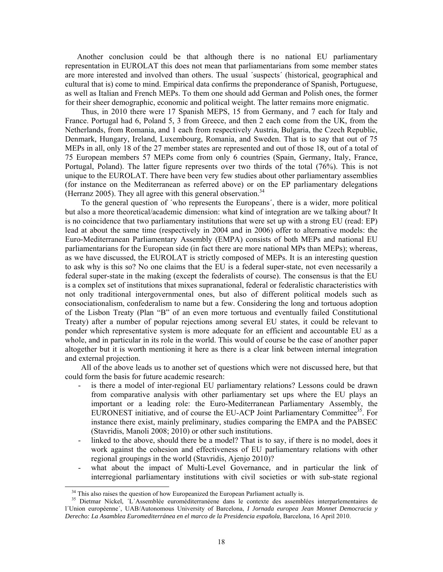Another conclusion could be that although there is no national EU parliamentary representation in EUROLAT this does not mean that parliamentarians from some member states are more interested and involved than others. The usual ´suspects´ (historical, geographical and cultural that is) come to mind. Empirical data confirms the preponderance of Spanish, Portuguese, as well as Italian and French MEPs. To them one should add German and Polish ones, the former for their sheer demographic, economic and political weight. The latter remains more enigmatic.

 Thus, in 2010 there were 17 Spanish MEPS, 15 from Germany, and 7 each for Italy and France. Portugal had 6, Poland 5, 3 from Greece, and then 2 each come from the UK, from the Netherlands, from Romania, and 1 each from respectively Austria, Bulgaria, the Czech Republic, Denmark, Hungary, Ireland, Luxembourg, Romania, and Sweden. That is to say that out of 75 MEPs in all, only 18 of the 27 member states are represented and out of those 18, out of a total of 75 European members 57 MEPs come from only 6 countries (Spain, Germany, Italy, France, Portugal, Poland). The latter figure represents over two thirds of the total (76%). This is not unique to the EUROLAT. There have been very few studies about other parliamentary assemblies (for instance on the Mediterranean as referred above) or on the EP parliamentary delegations (Herranz 2005). They all agree with this general observation.<sup>34</sup>

 To the general question of ´who represents the Europeans´, there is a wider, more political but also a more theoretical/academic dimension: what kind of integration are we talking about? It is no coincidence that two parliamentary institutions that were set up with a strong EU (read: EP) lead at about the same time (respectively in 2004 and in 2006) offer to alternative models: the Euro-Mediterranean Parliamentary Assembly (EMPA) consists of both MEPs and national EU parliamentarians for the European side (in fact there are more national MPs than MEPs); whereas, as we have discussed, the EUROLAT is strictly composed of MEPs. It is an interesting question to ask why is this so? No one claims that the EU is a federal super-state, not even necessarily a federal super-state in the making (except the federalists of course). The consensus is that the EU is a complex set of institutions that mixes supranational, federal or federalistic characteristics with not only traditional intergovernmental ones, but also of different political models such as consociationalism, confederalism to name but a few. Considering the long and tortuous adoption of the Lisbon Treaty (Plan "B" of an even more tortuous and eventually failed Constitutional Treaty) after a number of popular rejections among several EU states, it could be relevant to ponder which representative system is more adequate for an efficient and accountable EU as a whole, and in particular in its role in the world. This would of course be the case of another paper altogether but it is worth mentioning it here as there is a clear link between internal integration and external projection.

 All of the above leads us to another set of questions which were not discussed here, but that could form the basis for future academic research:

- is there a model of inter-regional EU parliamentary relations? Lessons could be drawn from comparative analysis with other parliamentary set ups where the EU plays an important or a leading role: the Euro-Mediterranean Parliamentary Assembly, the EURONEST initiative, and of course the EU-ACP Joint Parliamentary Committee<sup>35</sup>. For instance there exist, mainly preliminary, studies comparing the EMPA and the PABSEC (Stavridis, Manoli 2008; 2010) or other such institutions.
- linked to the above, should there be a model? That is to say, if there is no model, does it work against the cohesion and effectiveness of EU parliamentary relations with other regional groupings in the world (Stavridis, Ajenjo 2010)?
- what about the impact of Multi-Level Governance, and in particular the link of interregional parliamentary institutions with civil societies or with sub-state regional

<sup>&</sup>lt;sup>34</sup> This also raises the question of how Europeanized the European Parliament actually is.

<sup>&</sup>lt;sup>35</sup> Dietmar Níckel, 'L'Assemblée euroméditerranéene dans le contexte des assemblées interparlementaires de l´Union européenne´, UAB/Autonomous University of Barcelona, *I Jornada europea Jean Monnet Democracia y Derecho: La Asamblea Euromediterránea en el marco de la Presidencia española*, Barcelona, 16 April 2010.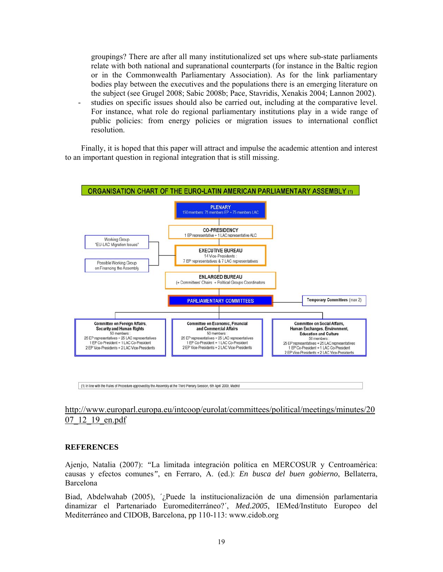groupings? There are after all many institutionalized set ups where sub-state parliaments relate with both national and supranational counterparts (for instance in the Baltic region or in the Commonwealth Parliamentary Association). As for the link parliamentary bodies play between the executives and the populations there is an emerging literature on the subject (see Grugel 2008; Sabic 2008b; Pace, Stavridis, Xenakis 2004; Lannon 2002). studies on specific issues should also be carried out, including at the comparative level. For instance, what role do regional parliamentary institutions play in a wide range of public policies: from energy policies or migration issues to international conflict resolution.

 Finally, it is hoped that this paper will attract and impulse the academic attention and interest to an important question in regional integration that is still missing.



http://www.europarl.europa.eu/intcoop/eurolat/committees/political/meetings/minutes/20 07 12 19 en.pdf

# **REFERENCES**

Ajenjo, Natalia (2007): *"*La limitada integración política en MERCOSUR y Centroamérica: causas y efectos comunes*"*, en Ferraro, A. (ed.): *En busca del buen gobierno*, Bellaterra, Barcelona

Biad, Abdelwahab (2005), '¿Puede la institucionalización de una dimensión parlamentaria dinamizar el Partenariado Euromediterráneo?´, *Med.2005*, IEMed/Instituto Europeo del Mediterráneo and CIDOB, Barcelona, pp 110-113: www.cidob.org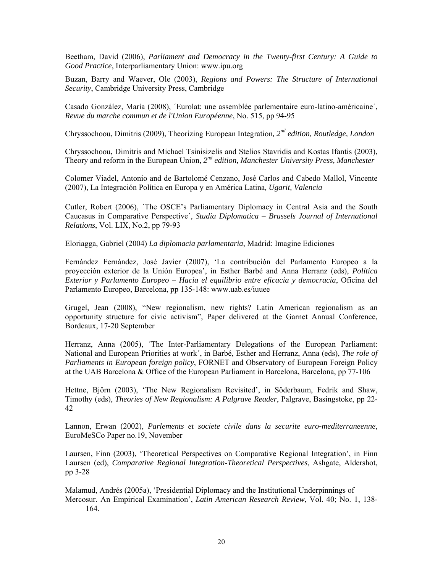Beetham, David (2006), *Parliament and Democracy in the Twenty-first Century: A Guide to Good Practice*, Interparliamentary Union: www.ipu.org

Buzan, Barry and Waever, Ole (2003), *Regions and Powers: The Structure of International Security*, Cambridge University Press, Cambridge

Casado González, María (2008), ´Eurolat: une assemblée parlementaire euro-latino-américaine´, *Revue du marche commun et de l'Union Européenne*, No. 515, pp 94-95

Chryssochoou, Dimitris (2009), Theorizing European Integration*, 2nd edition, Routledge, London* 

Chryssochoou, Dimitris and Michael Tsinisizelis and Stelios Stavridis and Kostas Ifantis (2003), Theory and reform in the European Union*, 2nd edition, Manchester University Press, Manchester* 

Colomer Viadel, Antonio and de Bartolomé Cenzano, José Carlos and Cabedo Mallol, Vincente (2007), La Integración Política en Europa y en América Latina*, Ugarit, Valencia*

Cutler, Robert (2006), ´The OSCE's Parliamentary Diplomacy in Central Asia and the South Caucasus in Comparative Perspective´, *Studia Diplomatica – Brussels Journal of International Relations*, Vol. LIX, No.2, pp 79-93

Eloriagga, Gabriel (2004) *La diplomacia parlamentaria*, Madrid: Imagine Ediciones

Fernández Fernández, José Javier (2007), 'La contribución del Parlamento Europeo a la proyección exterior de la Unión Europea', in Esther Barbé and Anna Herranz (eds), *Política Exterior y Parlamento Europeo – Hacia el equilibrio entre eficacia y democracia*, Oficina del Parlamento Europeo, Barcelona, pp 135-148: www.uab.es/iuuee

Grugel, Jean (2008), "New regionalism, new rights? Latin American regionalism as an opportunity structure for civic activism", Paper delivered at the Garnet Annual Conference, Bordeaux, 17-20 September

Herranz, Anna (2005), ´The Inter-Parliamentary Delegations of the European Parliament: National and European Priorities at work´, in Barbé, Esther and Herranz, Anna (eds), *The role of Parliaments in European foreign policy*, FORNET and Observatory of European Foreign Policy at the UAB Barcelona & Office of the European Parliament in Barcelona, Barcelona, pp 77-106

Hettne, Björn (2003), 'The New Regionalism Revisited', in Söderbaum, Fedrik and Shaw, Timothy (eds), *Theories of New Regionalism: A Palgrave Reader*, Palgrave, Basingstoke, pp 22- 42

Lannon, Erwan (2002), *Parlements et societe civile dans la securite euro-mediterraneenne*, EuroMeSCo Paper no.19, November

Laursen, Finn (2003), 'Theoretical Perspectives on Comparative Regional Integration', in Finn Laursen (ed), *Comparative Regional Integration-Theoretical Perspectives*, Ashgate, Aldershot, pp 3-28

Malamud, Andrés (2005a), 'Presidential Diplomacy and the Institutional Underpinnings of Mercosur. An Empirical Examination', *Latin American Research Review*, Vol. 40; No. 1, 138- 164.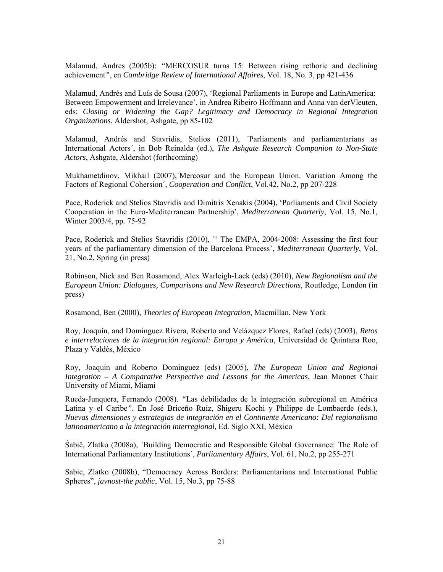Malamud, Andres (2005b): *"*MERCOSUR turns 15: Between rising rethoric and declining achievement*"*, en *Cambridge Review of International Affaires*, Vol. 18, No. 3, pp 421-436

Malamud, Andrés and Luís de Sousa (2007), 'Regional Parliaments in Europe and LatinAmerica: Between Empowerment and Irrelevance', in Andrea Ribeiro Hoffmann and Anna van derVleuten, eds: *Closing or Widening the Gap? Legitimacy and Democracy in Regional Integration Organizations*. Aldershot, Ashgate, pp 85-102

Malamud, Andrés and Stavridis, Stelios (2011), ´Parliaments and parliamentarians as International Actors´, in Bob Reinalda (ed.), *The Ashgate Research Companion to Non-State Actors*, Ashgate, Aldershot (forthcoming)

Mukhametdinov, Mikhail (2007),´Mercosur and the European Union. Variation Among the Factors of Regional Cohersion´, *Cooperation and Conflict*, Vol.42, No.2, pp 207-228

Pace, Roderick and Stelios Stavridis and Dimitris Xenakis (2004), 'Parliaments and Civil Society Cooperation in the Euro-Mediterranean Partnership', *Mediterranean Quarterly*, Vol. 15, No.1, Winter 2003/4, pp. 75-92

Pace, Roderick and Stelios Stavridis (2010), "The EMPA, 2004-2008: Assessing the first four years of the parliamentary dimension of the Barcelona Process', *Mediterranean Quarterly*, Vol. 21, No.2, Spring (in press)

Robinson, Nick and Ben Rosamond, Alex Warleigh-Lack (eds) (2010), *New Regionalism and the European Union: Dialogues, Comparisons and New Research Directions*, Routledge, London (in press)

Rosamond, Ben (2000), *Theories of European Integration*, Macmillan, New York

Roy, Joaquín, and Dominguez Rivera, Roberto and Velázquez Flores, Rafael (eds) (2003), *Retos e interrelaciones de la integración regional: Europa y América*, Universidad de Quintana Roo, Plaza y Valdés, México

Roy, Joaquín and Roberto Domínguez (eds) (2005), *The European Union and Regional Integration – A Comparative Perspective and Lessons for the Americas*, Jean Monnet Chair University of Miami, Miami

Rueda-Junquera, Fernando (2008). *"*Las debilidades de la integración subregional en América Latina y el Caribe*"*. En José Briceño Ruiz, Shigeru Kochi y Philippe de Lombaerde (eds.), *Nuevas dimensiones y estrategias de integración en el Continente Americano: Del regionalismo latinoamericano a la integración interregional*, Ed. Siglo XXI, México

Śabič, Zlatko (2008a), ´Building Democratic and Responsible Global Governance: The Role of International Parliamentary Institutions´, *Parliamentary Affairs*, Vol. 61, No.2, pp 255-271

Sabic, Zlatko (2008b), "Democracy Across Borders: Parliamentarians and International Public Spheres", *javnost-the public*, Vol. 15, No.3, pp 75-88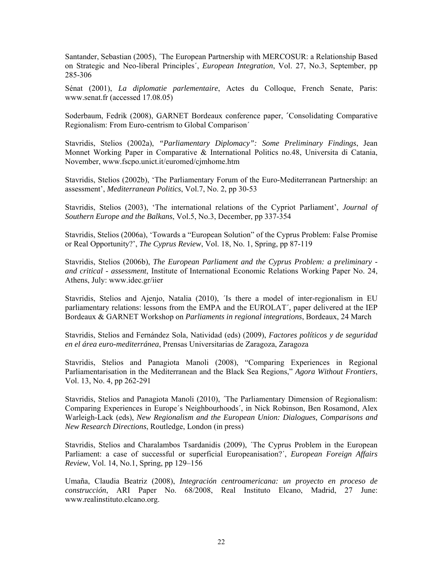Santander, Sebastian (2005), ´The European Partnership with MERCOSUR: a Relationship Based on Strategic and Neo-liberal Principles´, *European Integration*, Vol. 27, No.3, September, pp 285-306

Sénat (2001), *La diplomatie parlementaire*, Actes du Colloque, French Senate, Paris: www.senat.fr (accessed 17.08.05)

Soderbaum, Fedrik (2008), GARNET Bordeaux conference paper, **´**Consolidating Comparative Regionalism: From Euro-centrism to Global Comparison´

Stavridis, Stelios (2002a), *"Parliamentary Diplomacy": Some Preliminary Findings*, Jean Monnet Working Paper in Comparative & International Politics no.48, Universita di Catania, November, www.fscpo.unict.it/euromed/cjmhome.htm

Stavridis, Stelios (2002b), 'The Parliamentary Forum of the Euro-Mediterranean Partnership: an assessment', *Mediterranean Politics*, Vol.7, No. 2, pp 30-53

Stavridis, Stelios (2003), 'The international relations of the Cypriot Parliament', *Journal of Southern Europe and the Balkans*, Vol.5, No.3, December, pp 337-354

Stavridis, Stelios (2006a), 'Towards a "European Solution" of the Cyprus Problem: False Promise or Real Opportunity?', *The Cyprus Review*, Vol. 18, No. 1, Spring, pp 87-119

Stavridis, Stelios (2006b), *The European Parliament and the Cyprus Problem: a preliminary and critical - assessment*, Institute of International Economic Relations Working Paper No. 24, Athens, July: www.idec.gr/iier

Stavridis, Stelios and Ajenjo, Natalia (2010), ´Is there a model of inter-regionalism in EU parliamentary relations: lessons from the EMPA and the EUROLAT´, paper delivered at the IEP Bordeaux & GARNET Workshop on *Parliaments in regional integrations*, Bordeaux, 24 March

Stavridis, Stelios and Fernández Sola, Natividad (eds) (2009), *Factores políticos y de seguridad en el área euro-mediterránea*, Prensas Universitarias de Zaragoza, Zaragoza

Stavridis, Stelios and Panagiota Manoli (2008), "Comparing Experiences in Regional Parliamentarisation in the Mediterranean and the Black Sea Regions," *Agora Without Frontiers*, Vol. 13, No. 4, pp 262-291

Stavridis, Stelios and Panagiota Manoli (2010), *´*The Parliamentary Dimension of Regionalism: Comparing Experiences in Europe´s Neighbourhoods´, in Nick Robinson, Ben Rosamond, Alex Warleigh-Lack (eds), *New Regionalism and the European Union: Dialogues, Comparisons and New Research Directions*, Routledge, London (in press)

Stavridis, Stelios and Charalambos Tsardanidis (2009), ´The Cyprus Problem in the European Parliament: a case of successful or superficial Europeanisation?´, *European Foreign Affairs Review*, Vol. 14, No.1, Spring, pp 129–156

Umaña, Claudia Beatriz (2008), *Integración centroamericana: un proyecto en proceso de construcción*, ARI Paper No. 68/2008, Real Instituto Elcano, Madrid, 27 June: www.realinstituto.elcano.org.